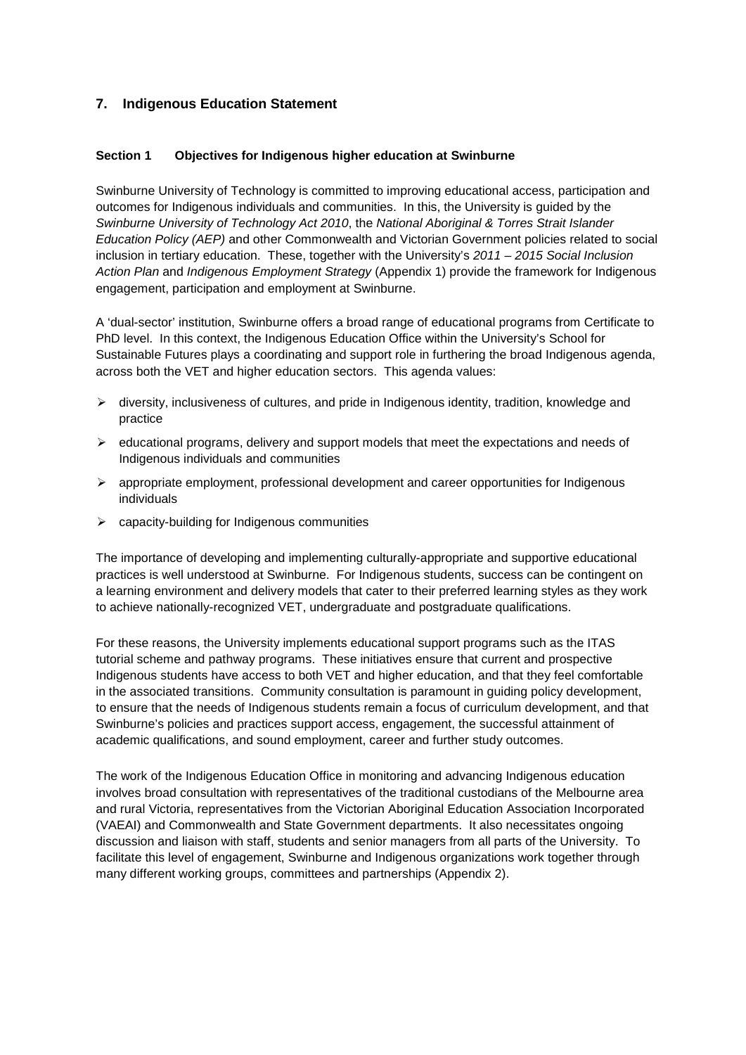# **7. Indigenous Education Statement**

# **Section 1 Objectives for Indigenous higher education at Swinburne**

Swinburne University of Technology is committed to improving educational access, participation and outcomes for Indigenous individuals and communities. In this, the University is guided by the *Swinburne University of Technology Act 2010*, the *National Aboriginal & Torres Strait Islander Education Policy (AEP)* and other Commonwealth and Victorian Government policies related to social inclusion in tertiary education. These, together with the University's *2011 – 2015 Social Inclusion Action Plan* and *Indigenous Employment Strategy* (Appendix 1) provide the framework for Indigenous engagement, participation and employment at Swinburne.

A 'dual-sector' institution, Swinburne offers a broad range of educational programs from Certificate to PhD level. In this context, the Indigenous Education Office within the University's School for Sustainable Futures plays a coordinating and support role in furthering the broad Indigenous agenda, across both the VET and higher education sectors. This agenda values:

- $\triangleright$  diversity, inclusiveness of cultures, and pride in Indigenous identity, tradition, knowledge and practice
- $\triangleright$  educational programs, delivery and support models that meet the expectations and needs of Indigenous individuals and communities
- $\triangleright$  appropriate employment, professional development and career opportunities for Indigenous individuals
- $\triangleright$  capacity-building for Indigenous communities

The importance of developing and implementing culturally-appropriate and supportive educational practices is well understood at Swinburne. For Indigenous students, success can be contingent on a learning environment and delivery models that cater to their preferred learning styles as they work to achieve nationally-recognized VET, undergraduate and postgraduate qualifications.

For these reasons, the University implements educational support programs such as the ITAS tutorial scheme and pathway programs. These initiatives ensure that current and prospective Indigenous students have access to both VET and higher education, and that they feel comfortable in the associated transitions. Community consultation is paramount in guiding policy development, to ensure that the needs of Indigenous students remain a focus of curriculum development, and that Swinburne's policies and practices support access, engagement, the successful attainment of academic qualifications, and sound employment, career and further study outcomes.

The work of the Indigenous Education Office in monitoring and advancing Indigenous education involves broad consultation with representatives of the traditional custodians of the Melbourne area and rural Victoria, representatives from the Victorian Aboriginal Education Association Incorporated (VAEAI) and Commonwealth and State Government departments. It also necessitates ongoing discussion and liaison with staff, students and senior managers from all parts of the University. To facilitate this level of engagement, Swinburne and Indigenous organizations work together through many different working groups, committees and partnerships (Appendix 2).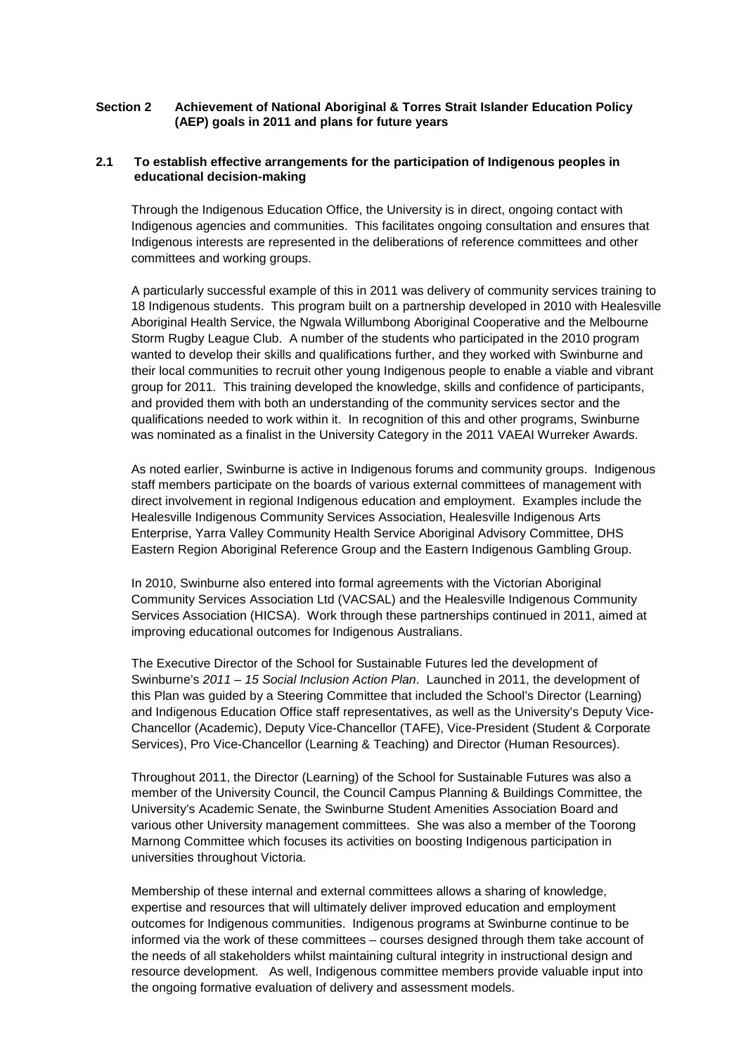## **Section 2 Achievement of National Aboriginal & Torres Strait Islander Education Policy (AEP) goals in 2011 and plans for future years**

# **2.1 To establish effective arrangements for the participation of Indigenous peoples in educational decision-making**

Through the Indigenous Education Office, the University is in direct, ongoing contact with Indigenous agencies and communities. This facilitates ongoing consultation and ensures that Indigenous interests are represented in the deliberations of reference committees and other committees and working groups.

A particularly successful example of this in 2011 was delivery of community services training to 18 Indigenous students. This program built on a partnership developed in 2010 with Healesville Aboriginal Health Service, the Ngwala Willumbong Aboriginal Cooperative and the Melbourne Storm Rugby League Club. A number of the students who participated in the 2010 program wanted to develop their skills and qualifications further, and they worked with Swinburne and their local communities to recruit other young Indigenous people to enable a viable and vibrant group for 2011. This training developed the knowledge, skills and confidence of participants, and provided them with both an understanding of the community services sector and the qualifications needed to work within it. In recognition of this and other programs, Swinburne was nominated as a finalist in the University Category in the 2011 VAEAI Wurreker Awards.

As noted earlier, Swinburne is active in Indigenous forums and community groups. Indigenous staff members participate on the boards of various external committees of management with direct involvement in regional Indigenous education and employment. Examples include the Healesville Indigenous Community Services Association, Healesville Indigenous Arts Enterprise, Yarra Valley Community Health Service Aboriginal Advisory Committee, DHS Eastern Region Aboriginal Reference Group and the Eastern Indigenous Gambling Group.

In 2010, Swinburne also entered into formal agreements with the Victorian Aboriginal Community Services Association Ltd (VACSAL) and the Healesville Indigenous Community Services Association (HICSA). Work through these partnerships continued in 2011, aimed at improving educational outcomes for Indigenous Australians.

The Executive Director of the School for Sustainable Futures led the development of Swinburne's *2011 – 15 Social Inclusion Action Plan*. Launched in 2011, the development of this Plan was guided by a Steering Committee that included the School's Director (Learning) and Indigenous Education Office staff representatives, as well as the University's Deputy Vice-Chancellor (Academic), Deputy Vice-Chancellor (TAFE), Vice-President (Student & Corporate Services), Pro Vice-Chancellor (Learning & Teaching) and Director (Human Resources).

Throughout 2011, the Director (Learning) of the School for Sustainable Futures was also a member of the University Council, the Council Campus Planning & Buildings Committee, the University's Academic Senate, the Swinburne Student Amenities Association Board and various other University management committees. She was also a member of the Toorong Marnong Committee which focuses its activities on boosting Indigenous participation in universities throughout Victoria.

Membership of these internal and external committees allows a sharing of knowledge, expertise and resources that will ultimately deliver improved education and employment outcomes for Indigenous communities. Indigenous programs at Swinburne continue to be informed via the work of these committees – courses designed through them take account of the needs of all stakeholders whilst maintaining cultural integrity in instructional design and resource development. As well, Indigenous committee members provide valuable input into the ongoing formative evaluation of delivery and assessment models.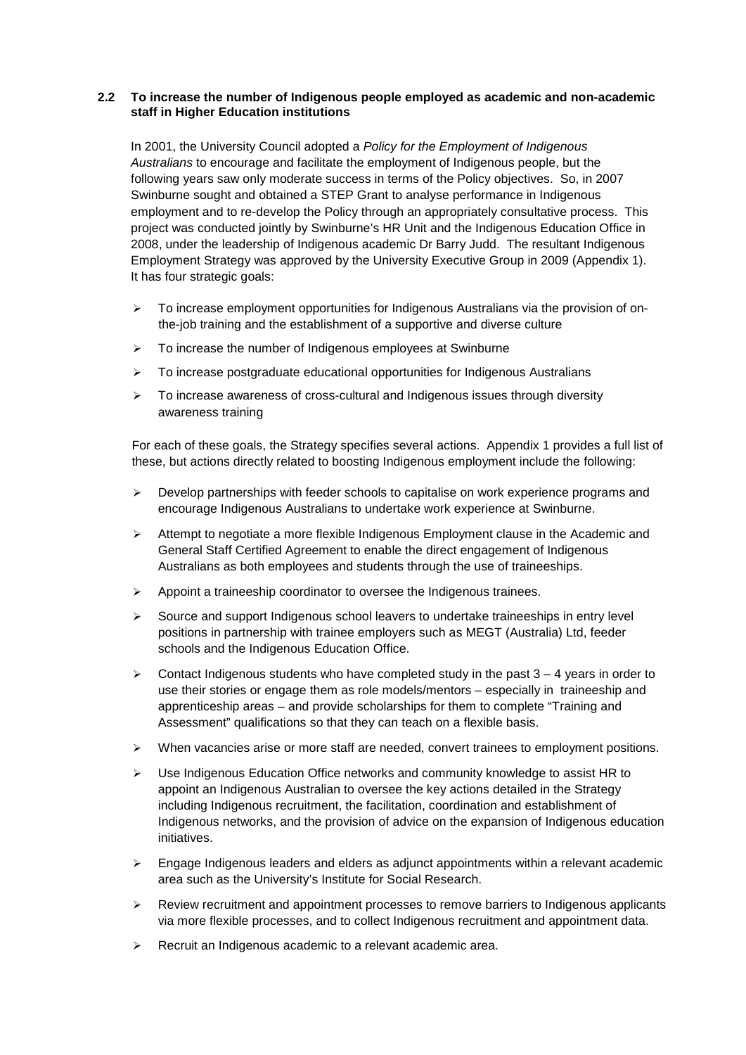# **2.2 To increase the number of Indigenous people employed as academic and non-academic staff in Higher Education institutions**

In 2001, the University Council adopted a *Policy for the Employment of Indigenous Australians* to encourage and facilitate the employment of Indigenous people, but the following years saw only moderate success in terms of the Policy objectives. So, in 2007 Swinburne sought and obtained a STEP Grant to analyse performance in Indigenous employment and to re-develop the Policy through an appropriately consultative process. This project was conducted jointly by Swinburne's HR Unit and the Indigenous Education Office in 2008, under the leadership of Indigenous academic Dr Barry Judd. The resultant Indigenous Employment Strategy was approved by the University Executive Group in 2009 (Appendix 1). It has four strategic goals:

- To increase employment opportunities for Indigenous Australians via the provision of onthe-job training and the establishment of a supportive and diverse culture
- $\triangleright$  To increase the number of Indigenous employees at Swinburne
- $\triangleright$  To increase postgraduate educational opportunities for Indigenous Australians
- $\triangleright$  To increase awareness of cross-cultural and Indigenous issues through diversity awareness training

For each of these goals, the Strategy specifies several actions. Appendix 1 provides a full list of these, but actions directly related to boosting Indigenous employment include the following:

- $\triangleright$  Develop partnerships with feeder schools to capitalise on work experience programs and encourage Indigenous Australians to undertake work experience at Swinburne.
- $\triangleright$  Attempt to negotiate a more flexible Indigenous Employment clause in the Academic and General Staff Certified Agreement to enable the direct engagement of Indigenous Australians as both employees and students through the use of traineeships.
- $\triangleright$  Appoint a traineeship coordinator to oversee the Indigenous trainees.
- $\triangleright$  Source and support Indigenous school leavers to undertake traineeships in entry level positions in partnership with trainee employers such as MEGT (Australia) Ltd, feeder schools and the Indigenous Education Office.
- $\triangleright$  Contact Indigenous students who have completed study in the past 3 4 years in order to use their stories or engage them as role models/mentors – especially in traineeship and apprenticeship areas – and provide scholarships for them to complete "Training and Assessment" qualifications so that they can teach on a flexible basis.
- $\triangleright$  When vacancies arise or more staff are needed, convert trainees to employment positions.
- $\triangleright$  Use Indigenous Education Office networks and community knowledge to assist HR to appoint an Indigenous Australian to oversee the key actions detailed in the Strategy including Indigenous recruitment, the facilitation, coordination and establishment of Indigenous networks, and the provision of advice on the expansion of Indigenous education initiatives.
- $\triangleright$  Engage Indigenous leaders and elders as adjunct appointments within a relevant academic area such as the University's Institute for Social Research.
- $\triangleright$  Review recruitment and appointment processes to remove barriers to Indigenous applicants via more flexible processes, and to collect Indigenous recruitment and appointment data.
- $\triangleright$  Recruit an Indigenous academic to a relevant academic area.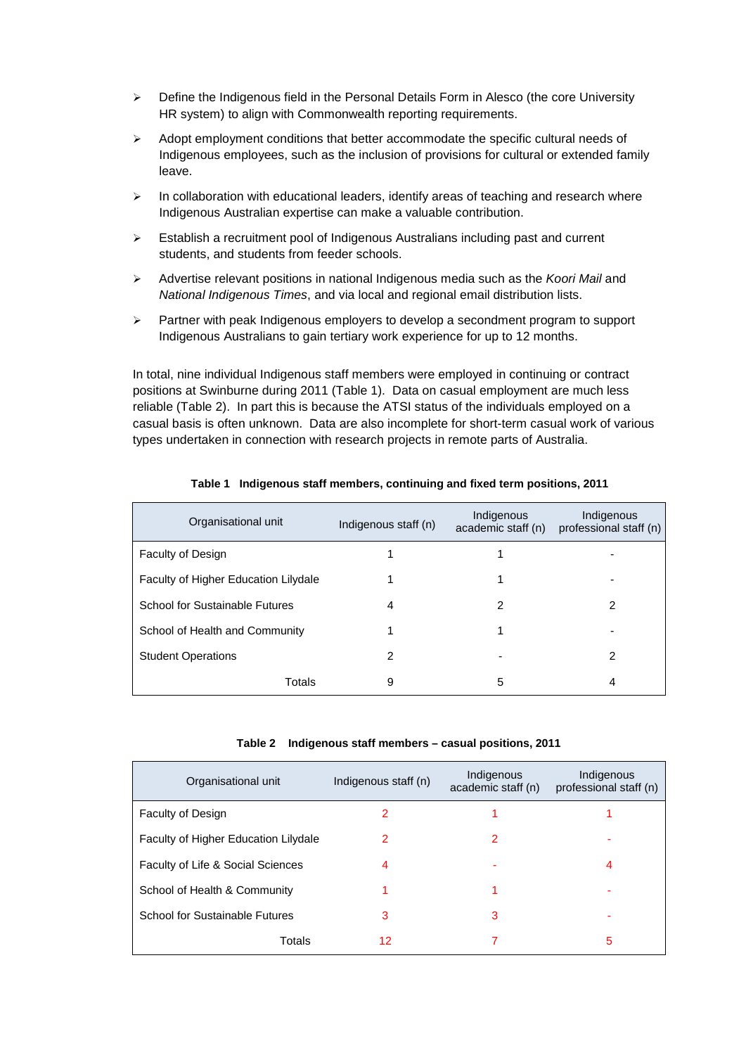- $\triangleright$  Define the Indigenous field in the Personal Details Form in Alesco (the core University HR system) to align with Commonwealth reporting requirements.
- $\triangleright$  Adopt employment conditions that better accommodate the specific cultural needs of Indigenous employees, such as the inclusion of provisions for cultural or extended family leave.
- $\triangleright$  In collaboration with educational leaders, identify areas of teaching and research where Indigenous Australian expertise can make a valuable contribution.
- Establish a recruitment pool of Indigenous Australians including past and current students, and students from feeder schools.
- Advertise relevant positions in national Indigenous media such as the *Koori Mail* and *National Indigenous Times*, and via local and regional email distribution lists.
- $\triangleright$  Partner with peak Indigenous employers to develop a secondment program to support Indigenous Australians to gain tertiary work experience for up to 12 months.

In total, nine individual Indigenous staff members were employed in continuing or contract positions at Swinburne during 2011 (Table 1). Data on casual employment are much less reliable (Table 2). In part this is because the ATSI status of the individuals employed on a casual basis is often unknown. Data are also incomplete for short-term casual work of various types undertaken in connection with research projects in remote parts of Australia.

| Organisational unit                  | Indigenous staff (n) | Indigenous<br>academic staff (n) | Indigenous<br>professional staff (n) |
|--------------------------------------|----------------------|----------------------------------|--------------------------------------|
| <b>Faculty of Design</b>             |                      |                                  |                                      |
| Faculty of Higher Education Lilydale |                      |                                  |                                      |
| School for Sustainable Futures       | 4                    | 2                                | 2                                    |
| School of Health and Community       |                      |                                  |                                      |
| <b>Student Operations</b>            | 2                    |                                  | 2                                    |
| Totals                               | 9                    | 5                                | 4                                    |

## **Table 1 Indigenous staff members, continuing and fixed term positions, 2011**

| Table 2 Indigenous staff members - casual positions, 2011 |  |  |  |  |  |
|-----------------------------------------------------------|--|--|--|--|--|
|-----------------------------------------------------------|--|--|--|--|--|

| Organisational unit                  | Indigenous staff (n) | Indigenous<br>academic staff (n) | Indigenous<br>professional staff (n) |
|--------------------------------------|----------------------|----------------------------------|--------------------------------------|
| <b>Faculty of Design</b>             | 2                    |                                  |                                      |
| Faculty of Higher Education Lilydale | 2                    | 2                                |                                      |
| Faculty of Life & Social Sciences    | 4                    |                                  | 4                                    |
| School of Health & Community         |                      |                                  |                                      |
| School for Sustainable Futures       | з                    | 3                                |                                      |
| Totals                               | 12                   |                                  | 5                                    |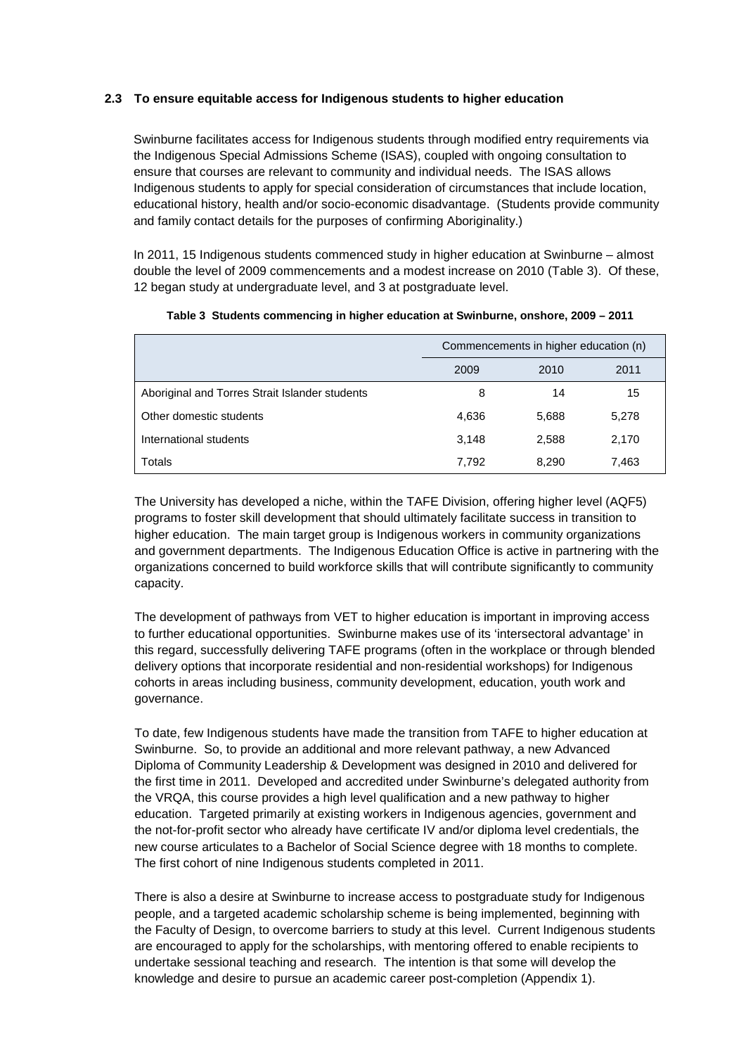# **2.3 To ensure equitable access for Indigenous students to higher education**

Swinburne facilitates access for Indigenous students through modified entry requirements via the Indigenous Special Admissions Scheme (ISAS), coupled with ongoing consultation to ensure that courses are relevant to community and individual needs. The ISAS allows Indigenous students to apply for special consideration of circumstances that include location, educational history, health and/or socio-economic disadvantage. (Students provide community and family contact details for the purposes of confirming Aboriginality.)

In 2011, 15 Indigenous students commenced study in higher education at Swinburne – almost double the level of 2009 commencements and a modest increase on 2010 (Table 3). Of these, 12 began study at undergraduate level, and 3 at postgraduate level.

|                                                | Commencements in higher education (n) |       |       |  |  |
|------------------------------------------------|---------------------------------------|-------|-------|--|--|
|                                                | 2009                                  | 2010  | 2011  |  |  |
| Aboriginal and Torres Strait Islander students | 8                                     | 14    | 15    |  |  |
| Other domestic students                        | 4.636                                 | 5,688 | 5,278 |  |  |
| International students                         | 3,148                                 | 2,588 | 2,170 |  |  |
| Totals                                         | 7.792                                 | 8,290 | 7,463 |  |  |

|  |  |  |  |  | Table 3 Students commencing in higher education at Swinburne, onshore, 2009 – 2011 |  |  |  |
|--|--|--|--|--|------------------------------------------------------------------------------------|--|--|--|
|--|--|--|--|--|------------------------------------------------------------------------------------|--|--|--|

The University has developed a niche, within the TAFE Division, offering higher level (AQF5) programs to foster skill development that should ultimately facilitate success in transition to higher education. The main target group is Indigenous workers in community organizations and government departments. The Indigenous Education Office is active in partnering with the organizations concerned to build workforce skills that will contribute significantly to community capacity.

The development of pathways from VET to higher education is important in improving access to further educational opportunities. Swinburne makes use of its 'intersectoral advantage' in this regard, successfully delivering TAFE programs (often in the workplace or through blended delivery options that incorporate residential and non-residential workshops) for Indigenous cohorts in areas including business, community development, education, youth work and governance.

To date, few Indigenous students have made the transition from TAFE to higher education at Swinburne. So, to provide an additional and more relevant pathway, a new Advanced Diploma of Community Leadership & Development was designed in 2010 and delivered for the first time in 2011. Developed and accredited under Swinburne's delegated authority from the VRQA, this course provides a high level qualification and a new pathway to higher education. Targeted primarily at existing workers in Indigenous agencies, government and the not-for-profit sector who already have certificate IV and/or diploma level credentials, the new course articulates to a Bachelor of Social Science degree with 18 months to complete. The first cohort of nine Indigenous students completed in 2011.

There is also a desire at Swinburne to increase access to postgraduate study for Indigenous people, and a targeted academic scholarship scheme is being implemented, beginning with the Faculty of Design, to overcome barriers to study at this level. Current Indigenous students are encouraged to apply for the scholarships, with mentoring offered to enable recipients to undertake sessional teaching and research. The intention is that some will develop the knowledge and desire to pursue an academic career post-completion (Appendix 1).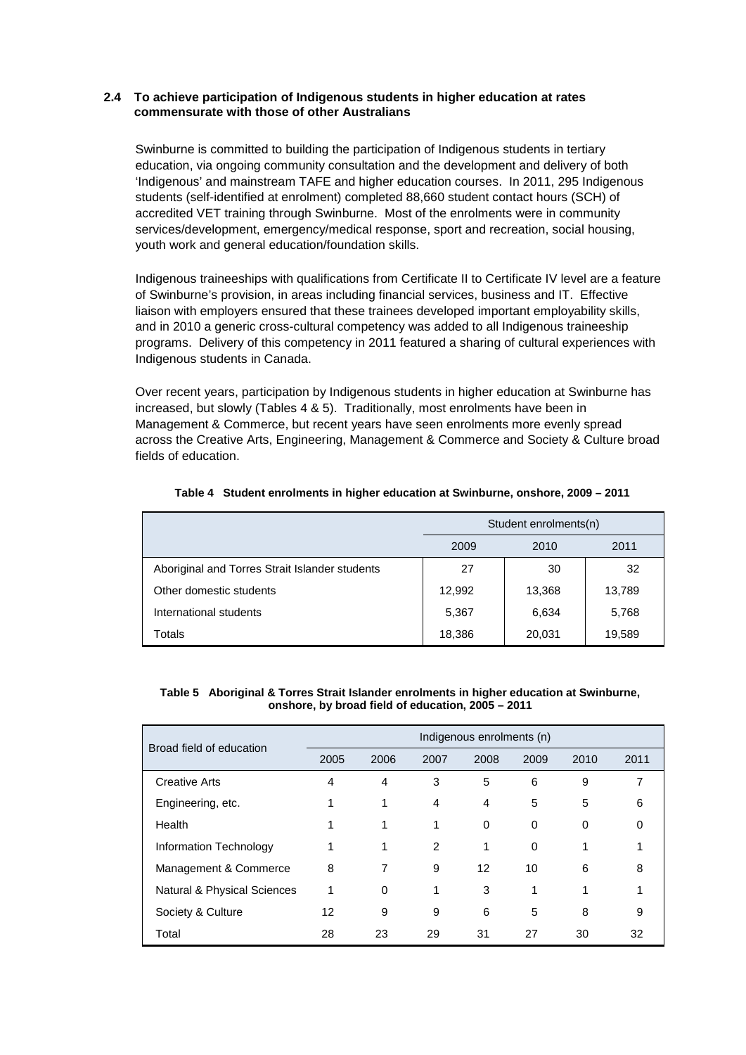## **2.4 To achieve participation of Indigenous students in higher education at rates commensurate with those of other Australians**

Swinburne is committed to building the participation of Indigenous students in tertiary education, via ongoing community consultation and the development and delivery of both 'Indigenous' and mainstream TAFE and higher education courses. In 2011, 295 Indigenous students (self-identified at enrolment) completed 88,660 student contact hours (SCH) of accredited VET training through Swinburne. Most of the enrolments were in community services/development, emergency/medical response, sport and recreation, social housing, youth work and general education/foundation skills.

Indigenous traineeships with qualifications from Certificate II to Certificate IV level are a feature of Swinburne's provision, in areas including financial services, business and IT.Effective liaison with employers ensured that these trainees developed important employability skills, and in 2010 a generic cross-cultural competency was added to all Indigenous traineeship programs. Delivery of this competency in 2011 featured a sharing of cultural experiences with Indigenous students in Canada.

Over recent years, participation by Indigenous students in higher education at Swinburne has increased, but slowly (Tables 4 & 5). Traditionally, most enrolments have been in Management & Commerce, but recent years have seen enrolments more evenly spread across the Creative Arts, Engineering, Management & Commerce and Society & Culture broad fields of education.

|                                                | Student enrolments(n) |        |        |  |  |
|------------------------------------------------|-----------------------|--------|--------|--|--|
|                                                | 2009                  | 2010   | 2011   |  |  |
| Aboriginal and Torres Strait Islander students | 27                    | 30     | 32     |  |  |
| Other domestic students                        | 12,992                | 13,368 | 13,789 |  |  |
| International students                         | 5,367                 | 6,634  | 5,768  |  |  |
| Totals                                         | 18,386                | 20,031 | 19,589 |  |  |

## **Table 4 Student enrolments in higher education at Swinburne, onshore, 2009 – 2011**

#### **Table 5 Aboriginal & Torres Strait Islander enrolments in higher education at Swinburne, onshore, by broad field of education, 2005 – 2011**

| Broad field of education    | Indigenous enrolments (n) |                |                |      |      |          |      |
|-----------------------------|---------------------------|----------------|----------------|------|------|----------|------|
|                             | 2005                      | 2006           | 2007           | 2008 | 2009 | 2010     | 2011 |
| <b>Creative Arts</b>        | 4                         | $\overline{4}$ | 3              | 5    | 6    | 9        |      |
| Engineering, etc.           |                           | 1              | 4              | 4    | 5    | 5        | 6    |
| Health                      |                           | 1              | 1              | 0    | 0    | $\Omega$ | 0    |
| Information Technology      |                           | 1              | $\overline{2}$ | 1    | 0    |          |      |
| Management & Commerce       | 8                         | 7              | 9              | 12   | 10   | 6        | 8    |
| Natural & Physical Sciences |                           | $\Omega$       | 1              | 3    | 1    |          |      |
| Society & Culture           | 12                        | 9              | 9              | 6    | 5    | 8        | 9    |
| Total                       | 28                        | 23             | 29             | 31   | 27   | 30       | 32   |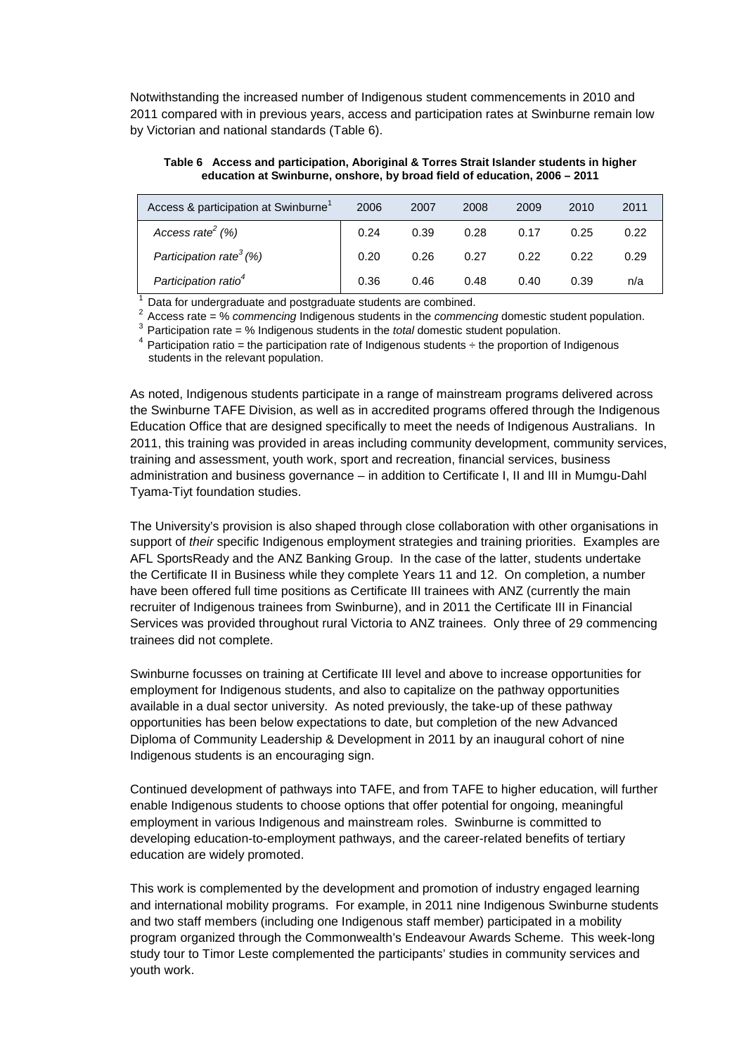Notwithstanding the increased number of Indigenous student commencements in 2010 and 2011 compared with in previous years, access and participation rates at Swinburne remain low by Victorian and national standards (Table 6).

| equeation at Swinburne, onshore, by proad field of equeation, 2006 – 2011 |      |      |      |      |      |      |
|---------------------------------------------------------------------------|------|------|------|------|------|------|
| Access & participation at Swinburne <sup>1</sup>                          | 2006 | 2007 | 2008 | 2009 | 2010 | 2011 |
| Access rate <sup>2</sup> $(\%)$                                           | 0.24 | 0.39 | 0.28 | 0.17 | 0.25 | 0.22 |

*Participation rate3 (%)* 0.20 0.26 0.27 0.22 0.22 0.29 *Participation ratio4* 0.36 0.46 0.48 0.40 0.39 n/a

**Table 6 Access and participation, Aboriginal & Torres Strait Islander students in higher education at Swinburne, onshore, by broad field of education, 2006 – 2011**

<sup>1</sup> Data for undergraduate and postgraduate students are combined. 2 Access rate = % *commencing* Indigenous students in the *commencing* domestic student population.

3 Participation rate = % Indigenous students in the *total* domestic student population.

Participation ratio = the participation rate of Indigenous students  $\div$  the proportion of Indigenous students in the relevant population.

As noted, Indigenous students participate in a range of mainstream programs delivered across the Swinburne TAFE Division, as well as in accredited programs offered through the Indigenous Education Office that are designed specifically to meet the needs of Indigenous Australians. In 2011, this training was provided in areas including community development, community services, training and assessment, youth work, sport and recreation, financial services, business administration and business governance – in addition to Certificate I, II and III in Mumgu-Dahl Tyama-Tiyt foundation studies.

The University's provision is also shaped through close collaboration with other organisations in support of *their* specific Indigenous employment strategies and training priorities. Examples are AFL SportsReady and the ANZ Banking Group. In the case of the latter, students undertake the Certificate II in Business while they complete Years 11 and 12. On completion, a number have been offered full time positions as Certificate III trainees with ANZ (currently the main recruiter of Indigenous trainees from Swinburne), and in 2011 the Certificate III in Financial Services was provided throughout rural Victoria to ANZ trainees. Only three of 29 commencing trainees did not complete.

Swinburne focusses on training at Certificate III level and above to increase opportunities for employment for Indigenous students, and also to capitalize on the pathway opportunities available in a dual sector university. As noted previously, the take-up of these pathway opportunities has been below expectations to date, but completion of the new Advanced Diploma of Community Leadership & Development in 2011 by an inaugural cohort of nine Indigenous students is an encouraging sign.

Continued development of pathways into TAFE, and from TAFE to higher education, will further enable Indigenous students to choose options that offer potential for ongoing, meaningful employment in various Indigenous and mainstream roles. Swinburne is committed to developing education-to-employment pathways, and the career-related benefits of tertiary education are widely promoted.

This work is complemented by the development and promotion of industry engaged learning and international mobility programs. For example, in 2011 nine Indigenous Swinburne students and two staff members (including one Indigenous staff member) participated in a mobility program organized through the Commonwealth's Endeavour Awards Scheme. This week-long study tour to Timor Leste complemented the participants' studies in community services and youth work.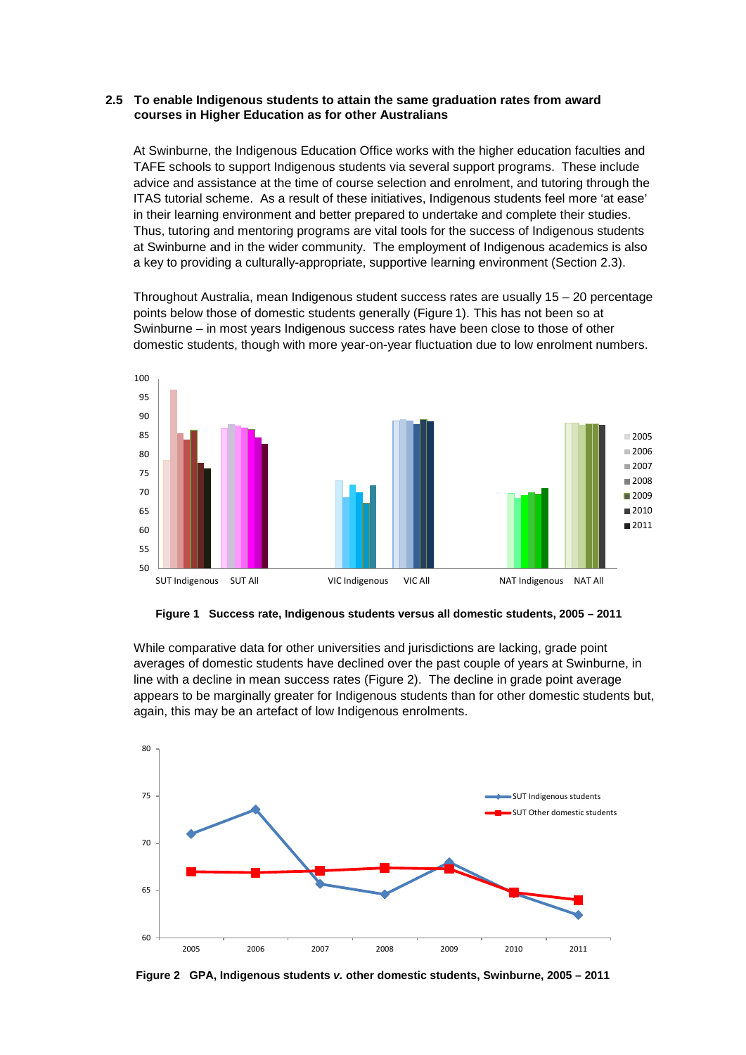#### **2.5 To enable Indigenous students to attain the same graduation rates from award courses in Higher Education as for other Australians**

At Swinburne, the Indigenous Education Office works with the higher education faculties and TAFE schools to support Indigenous students via several support programs. These include advice and assistance at the time of course selection and enrolment, and tutoring through the ITAS tutorial scheme. As a result of these initiatives, Indigenous students feel more 'at ease' in their learning environment and better prepared to undertake and complete their studies. Thus, tutoring and mentoring programs are vital tools for the success of Indigenous students at Swinburne and in the wider community. The employment of Indigenous academics is also a key to providing a culturally-appropriate, supportive learning environment (Section 2.3).

Throughout Australia, mean Indigenous student success rates are usually 15 – 20 percentage points below those of domestic students generally (Figure 1). This has not been so at Swinburne – in most years Indigenous success rates have been close to those of other domestic students, though with more year-on-year fluctuation due to low enrolment numbers.



**Figure 1 Success rate, Indigenous students versus all domestic students, 2005 – 2011**

While comparative data for other universities and jurisdictions are lacking, grade point averages of domestic students have declined over the past couple of years at Swinburne, in line with a decline in mean success rates (Figure 2). The decline in grade point average appears to be marginally greater for Indigenous students than for other domestic students but, again, this may be an artefact of low Indigenous enrolments.



**Figure 2 GPA, Indigenous students** *v.* **other domestic students, Swinburne, 2005 – 2011**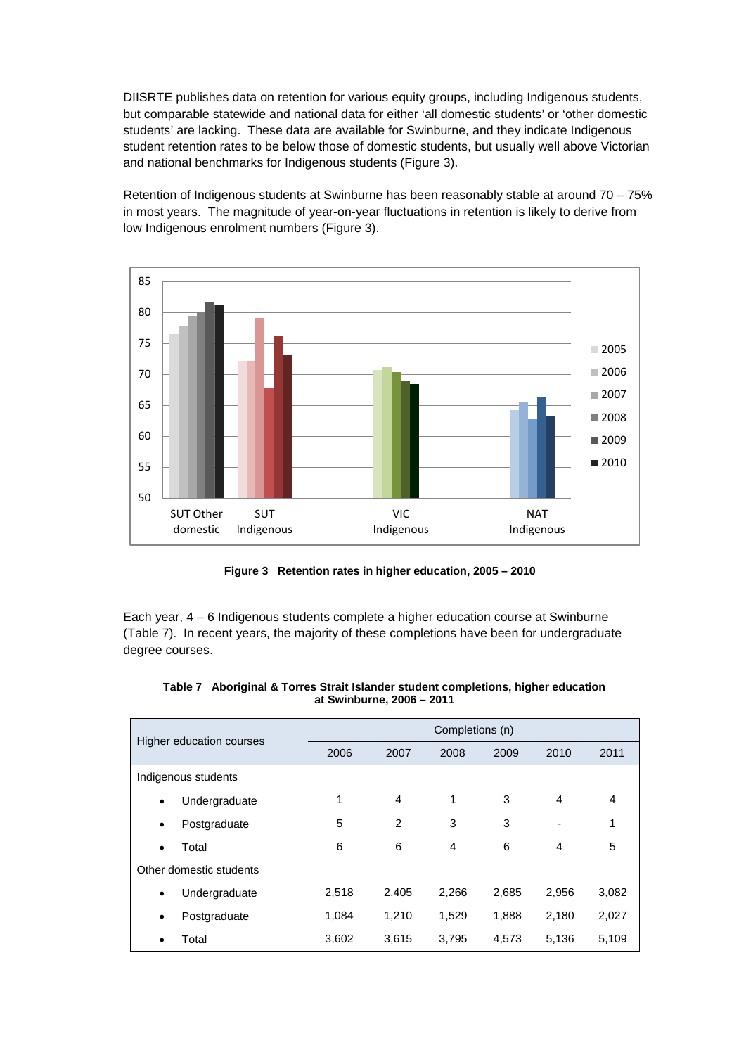DIISRTE publishes data on retention for various equity groups, including Indigenous students, but comparable statewide and national data for either 'all domestic students' or 'other domestic students' are lacking. These data are available for Swinburne, and they indicate Indigenous student retention rates to be below those of domestic students, but usually well above Victorian and national benchmarks for Indigenous students (Figure 3).

Retention of Indigenous students at Swinburne has been reasonably stable at around 70 – 75% in most years. The magnitude of year-on-year fluctuations in retention is likely to derive from low Indigenous enrolment numbers (Figure 3).



**Figure 3 Retention rates in higher education, 2005 – 2010**

Each year, 4 – 6 Indigenous students complete a higher education course at Swinburne (Table 7). In recent years, the majority of these completions have been for undergraduate degree courses.

| Higher education courses |                         | Completions (n) |                |                |       |       |       |  |
|--------------------------|-------------------------|-----------------|----------------|----------------|-------|-------|-------|--|
|                          |                         | 2006            | 2007           | 2008           | 2009  | 2010  | 2011  |  |
|                          | Indigenous students     |                 |                |                |       |       |       |  |
| $\bullet$                | Undergraduate           | 1               | 4              | 1              | 3     | 4     | 4     |  |
| $\bullet$                | Postgraduate            | 5               | $\overline{2}$ | 3              | 3     | ۰     | 1     |  |
| $\bullet$                | Total                   | 6               | 6              | $\overline{4}$ | 6     | 4     | 5     |  |
|                          | Other domestic students |                 |                |                |       |       |       |  |
| $\bullet$                | Undergraduate           | 2,518           | 2,405          | 2.266          | 2,685 | 2,956 | 3,082 |  |
| $\bullet$                | Postgraduate            | 1,084           | 1,210          | 1,529          | 1,888 | 2,180 | 2,027 |  |
| ٠                        | Total                   | 3,602           | 3,615          | 3,795          | 4,573 | 5,136 | 5,109 |  |

| Table 7 Aboriginal & Torres Strait Islander student completions, higher education |
|-----------------------------------------------------------------------------------|
| at Swinburne, 2006 - 2011                                                         |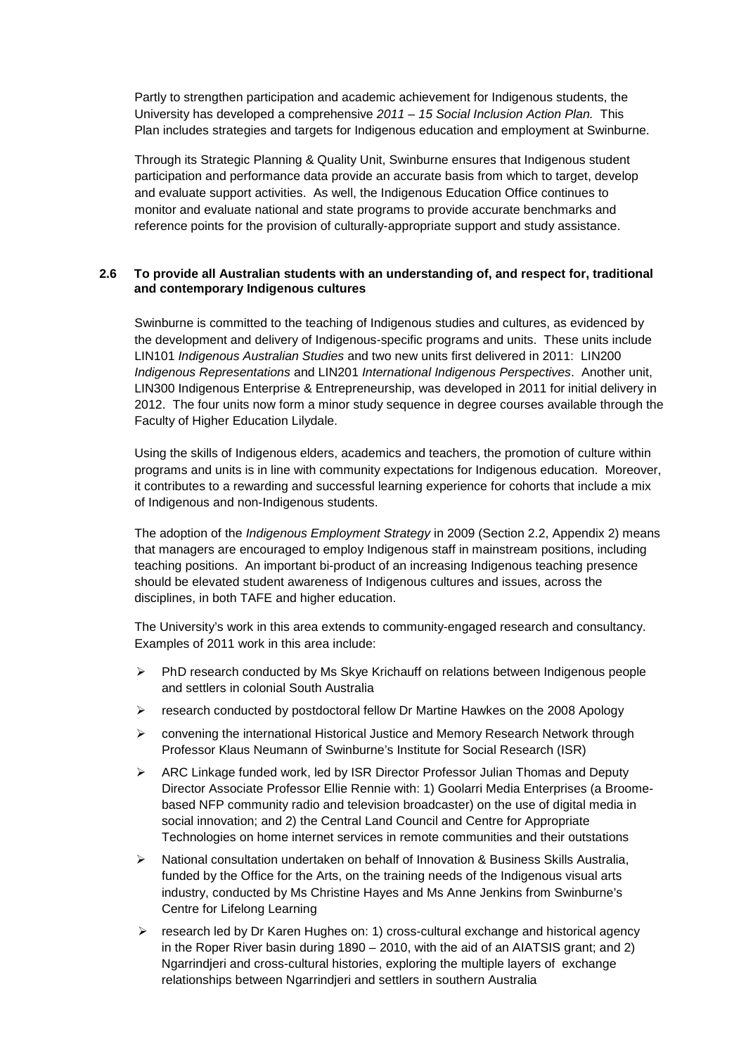Partly to strengthen participation and academic achievement for Indigenous students, the University has developed a comprehensive *2011 – 15 Social Inclusion Action Plan.* This Plan includes strategies and targets for Indigenous education and employment at Swinburne.

Through its Strategic Planning & Quality Unit, Swinburne ensures that Indigenous student participation and performance data provide an accurate basis from which to target, develop and evaluate support activities. As well, the Indigenous Education Office continues to monitor and evaluate national and state programs to provide accurate benchmarks and reference points for the provision of culturally-appropriate support and study assistance.

# **2.6 To provide all Australian students with an understanding of, and respect for, traditional and contemporary Indigenous cultures**

Swinburne is committed to the teaching of Indigenous studies and cultures, as evidenced by the development and delivery of Indigenous-specific programs and units. These units include LIN101 *Indigenous Australian Studies* and two new units first delivered in 2011: LIN200 *Indigenous Representations* and LIN201 *International Indigenous Perspectives*. Another unit, LIN300 Indigenous Enterprise & Entrepreneurship, was developed in 2011 for initial delivery in 2012. The four units now form a minor study sequence in degree courses available through the Faculty of Higher Education Lilydale.

Using the skills of Indigenous elders, academics and teachers, the promotion of culture within programs and units is in line with community expectations for Indigenous education. Moreover, it contributes to a rewarding and successful learning experience for cohorts that include a mix of Indigenous and non-Indigenous students.

The adoption of the *Indigenous Employment Strategy* in 2009 (Section 2.2, Appendix 2) means that managers are encouraged to employ Indigenous staff in mainstream positions, including teaching positions. An important bi-product of an increasing Indigenous teaching presence should be elevated student awareness of Indigenous cultures and issues, across the disciplines, in both TAFE and higher education.

The University's work in this area extends to community-engaged research and consultancy. Examples of 2011 work in this area include:

- $\triangleright$  PhD research conducted by Ms Skye Krichauff on relations between Indigenous people and settlers in colonial South Australia
- $\geq$  research conducted by postdoctoral fellow Dr Martine Hawkes on the 2008 Apology
- $\triangleright$  convening the international Historical Justice and Memory Research Network through Professor Klaus Neumann of Swinburne's Institute for Social Research (ISR)
- ARC Linkage funded work, led by ISR Director Professor Julian Thomas and Deputy Director Associate Professor Ellie Rennie with: 1) Goolarri Media Enterprises (a Broomebased NFP community radio and television broadcaster) on the use of digital media in social innovation; and 2) the Central Land Council and Centre for Appropriate Technologies on home internet services in remote communities and their outstations
- $\triangleright$  National consultation undertaken on behalf of Innovation & Business Skills Australia, funded by the Office for the Arts, on the training needs of the Indigenous visual arts industry, conducted by Ms Christine Hayes and Ms Anne Jenkins from Swinburne's Centre for Lifelong Learning
- $\triangleright$  research led by Dr Karen Hughes on: 1) cross-cultural exchange and historical agency in the Roper River basin during 1890 – 2010, with the aid of an AIATSIS grant; and 2) Ngarrindjeri and cross-cultural histories, exploring the multiple layers of exchange relationships between Ngarrindjeri and settlers in southern Australia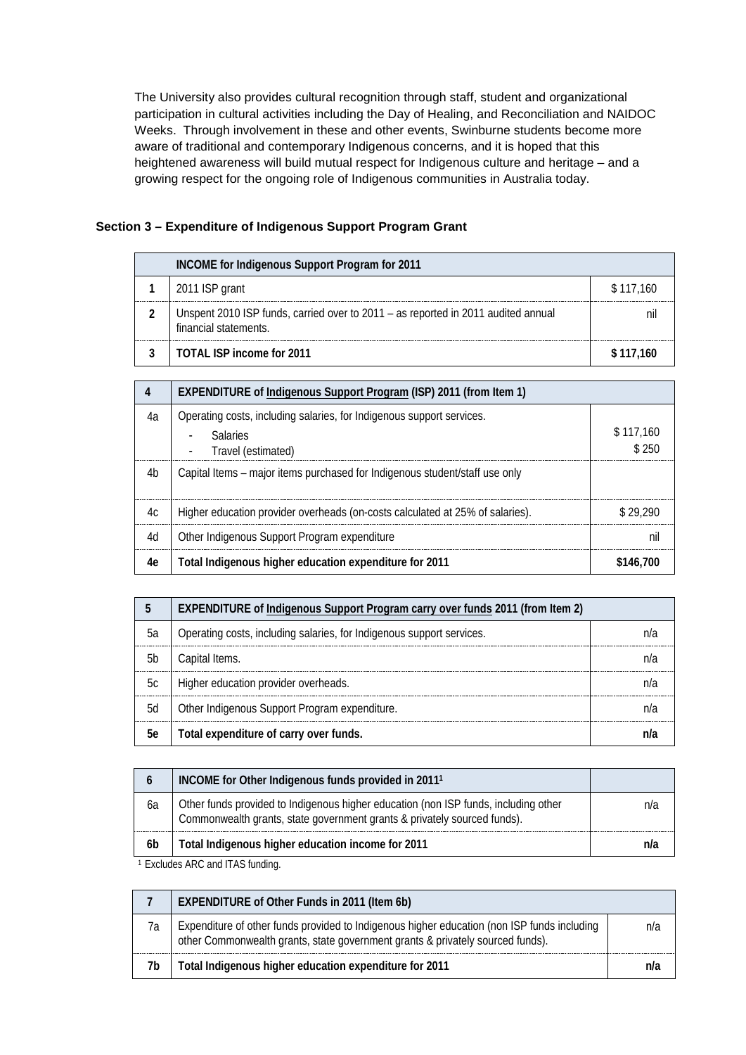The University also provides cultural recognition through staff, student and organizational participation in cultural activities including the Day of Healing, and Reconciliation and NAIDOC Weeks. Through involvement in these and other events, Swinburne students become more aware of traditional and contemporary Indigenous concerns, and it is hoped that this heightened awareness will build mutual respect for Indigenous culture and heritage – and a growing respect for the ongoing role of Indigenous communities in Australia today.

|  | Section 3 – Expenditure of Indigenous Support Program Grant |  |  |  |  |
|--|-------------------------------------------------------------|--|--|--|--|
|--|-------------------------------------------------------------|--|--|--|--|

| INCOME for Indigenous Support Program for 2011 |                                                                                                            |           |  |  |  |
|------------------------------------------------|------------------------------------------------------------------------------------------------------------|-----------|--|--|--|
|                                                | 2011 ISP grant                                                                                             | \$117,160 |  |  |  |
|                                                | Unspent 2010 ISP funds, carried over to 2011 - as reported in 2011 audited annual<br>financial statements. |           |  |  |  |
|                                                | TOTAL ISP income for 2011                                                                                  | \$117.160 |  |  |  |

|    | EXPENDITURE of Indigenous Support Program (ISP) 2011 (from Item 1)                                                                         |                    |
|----|--------------------------------------------------------------------------------------------------------------------------------------------|--------------------|
| 4а | Operating costs, including salaries, for Indigenous support services.<br><b>Salaries</b><br>Travel (estimated)<br>$\overline{\phantom{a}}$ | \$117,160<br>\$250 |
| 4b | Capital Items – major items purchased for Indigenous student/staff use only                                                                |                    |
| 4c | Higher education provider overheads (on-costs calculated at 25% of salaries).                                                              | \$29.290           |
| 4d | Other Indigenous Support Program expenditure                                                                                               | nıl                |
| 4e | Total Indigenous higher education expenditure for 2011                                                                                     | \$146.700          |

|     | EXPENDITURE of Indigenous Support Program carry over funds 2011 (from Item 2) |  |
|-----|-------------------------------------------------------------------------------|--|
| 5а  | Operating costs, including salaries, for Indigenous support services.         |  |
| .5h | Capital Items.                                                                |  |
| 5c  | Higher education provider overheads.                                          |  |
| 5d  | Other Indigenous Support Program expenditure.                                 |  |
| 5е  | Total expenditure of carry over funds.                                        |  |

|    | INCOME for Other Indigenous funds provided in 2011 <sup>1</sup>                                                                                                 |     |
|----|-----------------------------------------------------------------------------------------------------------------------------------------------------------------|-----|
| 6a | Other funds provided to Indigenous higher education (non ISP funds, including other<br>Commonwealth grants, state government grants & privately sourced funds). | nıa |
| 6b | Total Indigenous higher education income for 2011                                                                                                               |     |

<sup>1</sup> Excludes ARC and ITAS funding.

|    | <b>EXPENDITURE of Other Funds in 2011 (Item 6b)</b>                                                                                                                           |  |
|----|-------------------------------------------------------------------------------------------------------------------------------------------------------------------------------|--|
| 7a | Expenditure of other funds provided to Indigenous higher education (non ISP funds including<br>other Commonwealth grants, state government grants & privately sourced funds). |  |
| 7b | Total Indigenous higher education expenditure for 2011                                                                                                                        |  |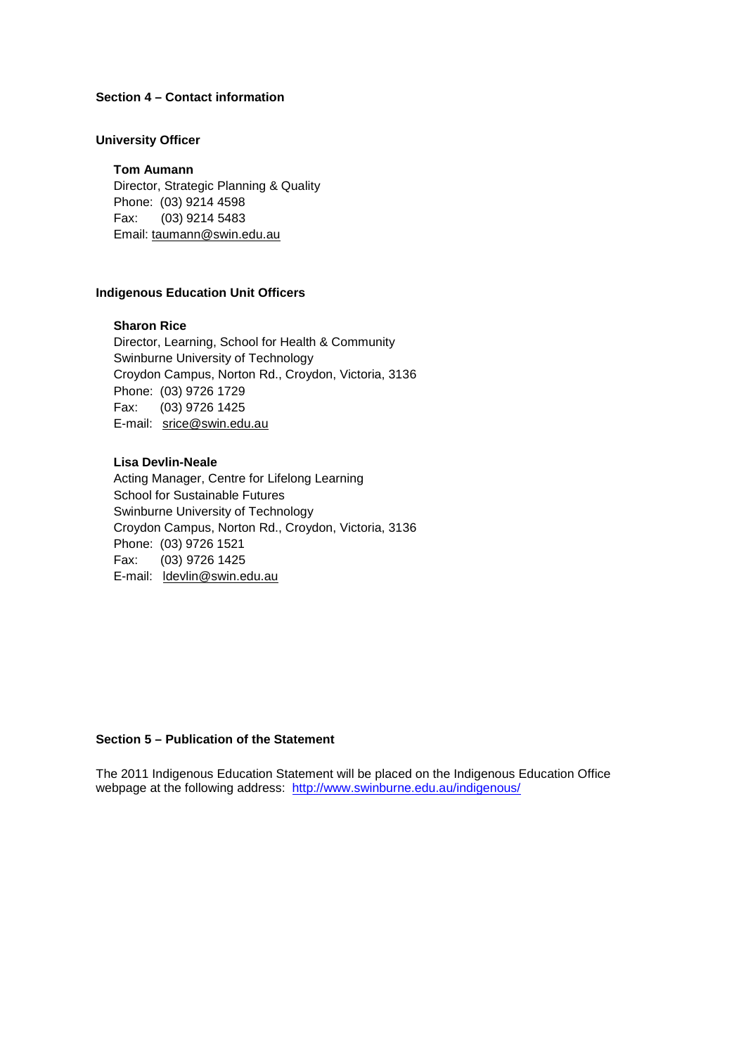# **Section 4 – Contact information**

#### **University Officer**

#### **Tom Aumann**

Director, Strategic Planning & Quality Phone: (03) 9214 4598 Fax: (03) 9214 5483 Email: [taumann@swin.edu.au](mailto:taumann@swin.edu.au)

## **Indigenous Education Unit Officers**

# **Sharon Rice**

Director, Learning, School for Health & Community Swinburne University of Technology Croydon Campus, Norton Rd., Croydon, Victoria, 3136 Phone: (03) 9726 1729 Fax: (03) 9726 1425 E-mail: [srice@swin.edu.au](mailto:srice@swin.edu.au)

# **Lisa Devlin-Neale**

Acting Manager, Centre for Lifelong Learning School for Sustainable Futures Swinburne University of Technology Croydon Campus, Norton Rd., Croydon, Victoria, 3136 Phone: (03) 9726 1521 Fax: (03) 9726 1425 E-mail: [ldevlin@swin.](mailto:chayes@swin.edu.au)edu.au

#### **Section 5 – Publication of the Statement**

The 2011 Indigenous Education Statement will be placed on the Indigenous Education Office webpage at the following address: <http://www.swinburne.edu.au/indigenous/>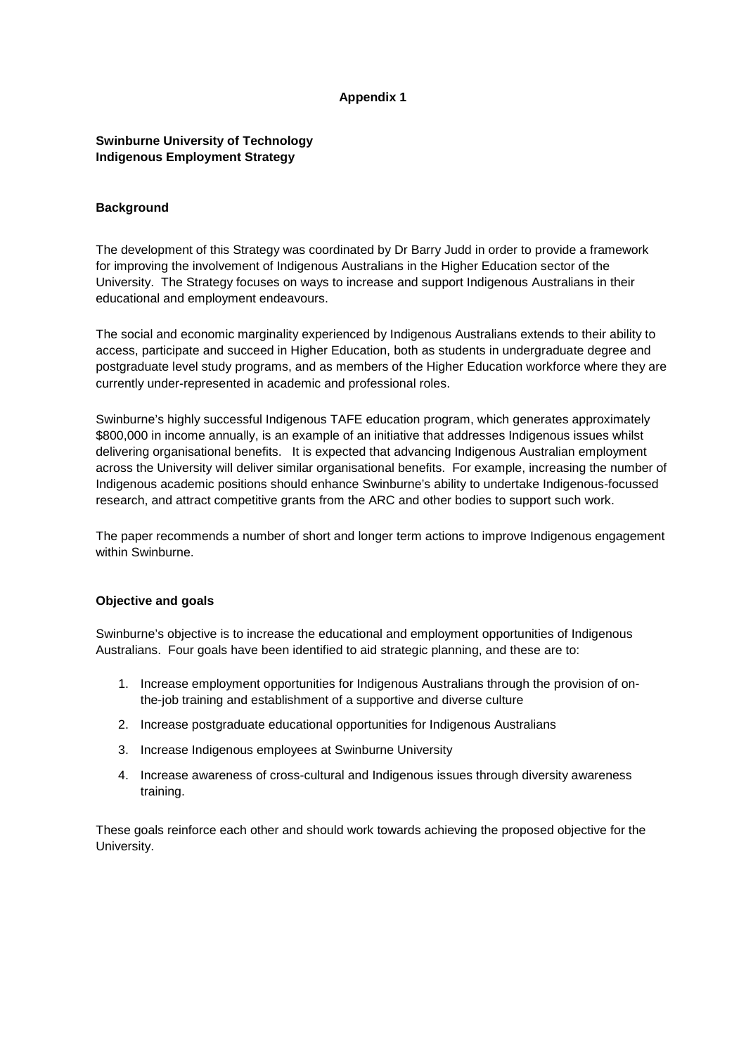# **Appendix 1**

# **Swinburne University of Technology Indigenous Employment Strategy**

# **Background**

The development of this Strategy was coordinated by Dr Barry Judd in order to provide a framework for improving the involvement of Indigenous Australians in the Higher Education sector of the University. The Strategy focuses on ways to increase and support Indigenous Australians in their educational and employment endeavours.

The social and economic marginality experienced by Indigenous Australians extends to their ability to access, participate and succeed in Higher Education, both as students in undergraduate degree and postgraduate level study programs, and as members of the Higher Education workforce where they are currently under-represented in academic and professional roles.

Swinburne's highly successful Indigenous TAFE education program, which generates approximately \$800,000 in income annually, is an example of an initiative that addresses Indigenous issues whilst delivering organisational benefits. It is expected that advancing Indigenous Australian employment across the University will deliver similar organisational benefits. For example, increasing the number of Indigenous academic positions should enhance Swinburne's ability to undertake Indigenous-focussed research, and attract competitive grants from the ARC and other bodies to support such work.

The paper recommends a number of short and longer term actions to improve Indigenous engagement within Swinburne.

#### **Objective and goals**

Swinburne's objective is to increase the educational and employment opportunities of Indigenous Australians. Four goals have been identified to aid strategic planning, and these are to:

- 1. Increase employment opportunities for Indigenous Australians through the provision of onthe-job training and establishment of a supportive and diverse culture
- 2. Increase postgraduate educational opportunities for Indigenous Australians
- 3. Increase Indigenous employees at Swinburne University
- 4. Increase awareness of cross-cultural and Indigenous issues through diversity awareness training.

These goals reinforce each other and should work towards achieving the proposed objective for the University.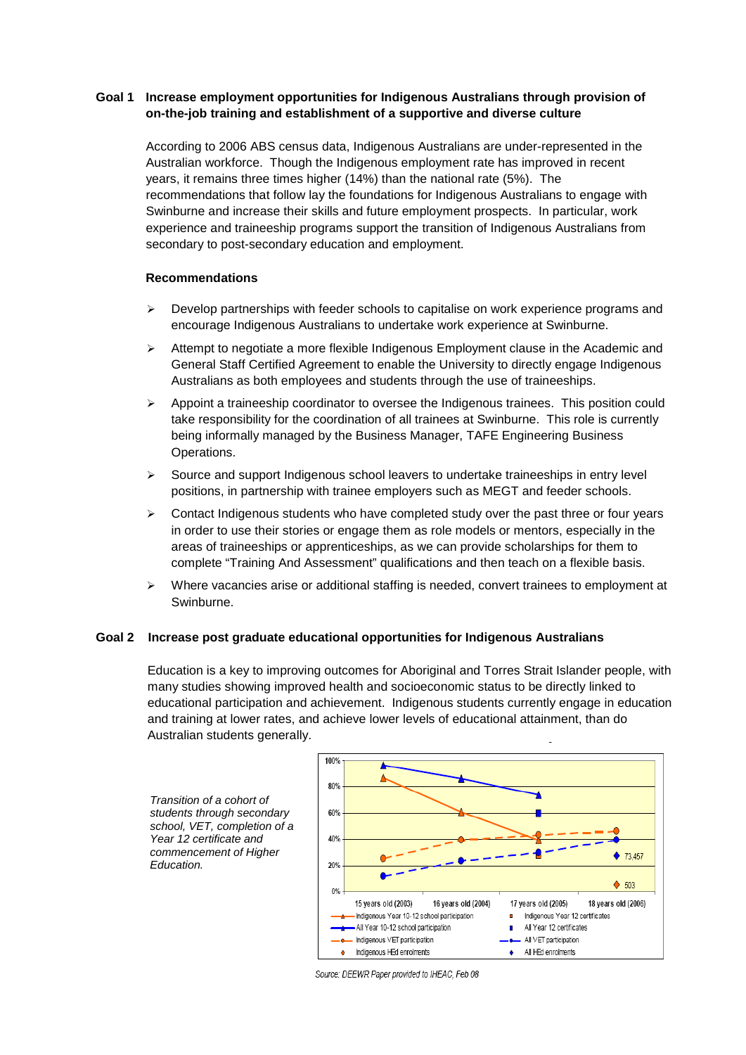# **Goal 1 Increase employment opportunities for Indigenous Australians through provision of on-the-job training and establishment of a supportive and diverse culture**

According to 2006 ABS census data, Indigenous Australians are under-represented in the Australian workforce. Though the Indigenous employment rate has improved in recent years, it remains three times higher (14%) than the national rate (5%). The recommendations that follow lay the foundations for Indigenous Australians to engage with Swinburne and increase their skills and future employment prospects. In particular, work experience and traineeship programs support the transition of Indigenous Australians from secondary to post-secondary education and employment.

## **Recommendations**

- Develop partnerships with feeder schools to capitalise on work experience programs and encourage Indigenous Australians to undertake work experience at Swinburne.
- Attempt to negotiate a more flexible Indigenous Employment clause in the Academic and General Staff Certified Agreement to enable the University to directly engage Indigenous Australians as both employees and students through the use of traineeships.
- Appoint a traineeship coordinator to oversee the Indigenous trainees. This position could take responsibility for the coordination of all trainees at Swinburne. This role is currently being informally managed by the Business Manager, TAFE Engineering Business Operations.
- $\geq$  Source and support Indigenous school leavers to undertake traineeships in entry level positions, in partnership with trainee employers such as MEGT and feeder schools.
- $\triangleright$  Contact Indigenous students who have completed study over the past three or four years in order to use their stories or engage them as role models or mentors, especially in the areas of traineeships or apprenticeships, as we can provide scholarships for them to complete "Training And Assessment" qualifications and then teach on a flexible basis.
- $\triangleright$  Where vacancies arise or additional staffing is needed, convert trainees to employment at Swinburne.

# **Goal 2 Increase post graduate educational opportunities for Indigenous Australians**

Education is a key to improving outcomes for Aboriginal and Torres Strait Islander people, with many studies showing improved health and socioeconomic status to be directly linked to educational participation and achievement. Indigenous students currently engage in education and training at lower rates, and achieve lower levels of educational attainment, than do Australian students generally.

*Transition of a cohort of students through secondary school, VET, completion of a Year 12 certificate and commencement of Higher Education.*



Source: DEEWR Paper provided to IHEAC, Feb 08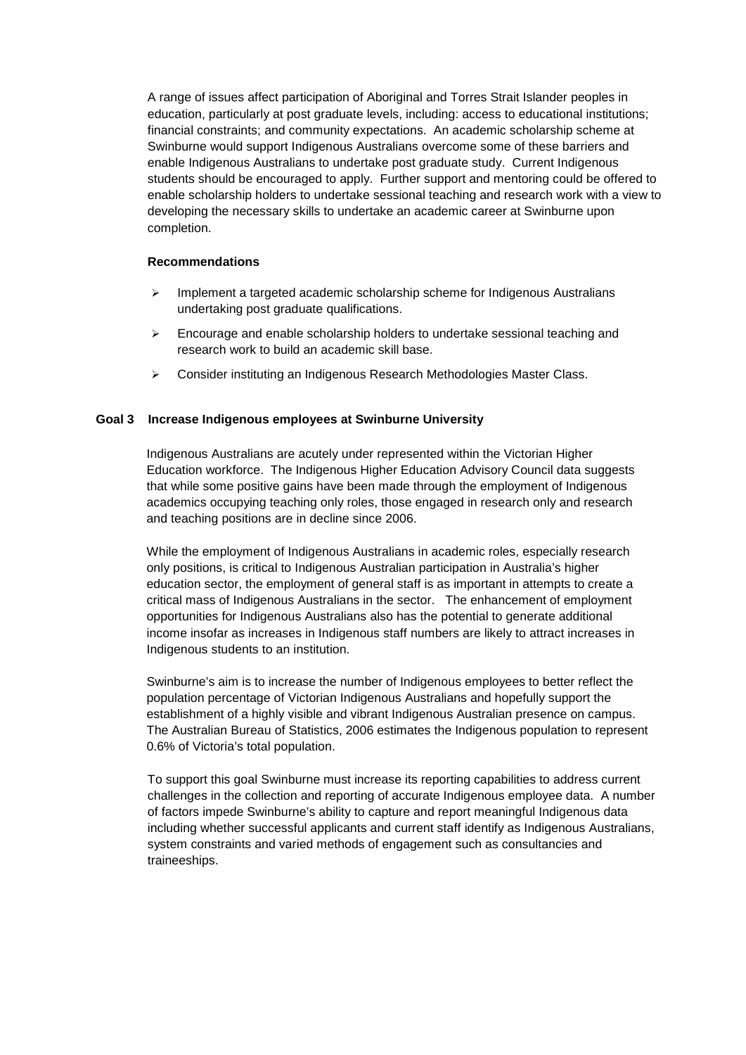A range of issues affect participation of Aboriginal and Torres Strait Islander peoples in education, particularly at post graduate levels, including: access to educational institutions; financial constraints; and community expectations. An academic scholarship scheme at Swinburne would support Indigenous Australians overcome some of these barriers and enable Indigenous Australians to undertake post graduate study. Current Indigenous students should be encouraged to apply. Further support and mentoring could be offered to enable scholarship holders to undertake sessional teaching and research work with a view to developing the necessary skills to undertake an academic career at Swinburne upon completion.

# **Recommendations**

- $\triangleright$  Implement a targeted academic scholarship scheme for Indigenous Australians undertaking post graduate qualifications.
- $\triangleright$  Encourage and enable scholarship holders to undertake sessional teaching and research work to build an academic skill base.
- ▶ Consider instituting an Indigenous Research Methodologies Master Class.

# **Goal 3 Increase Indigenous employees at Swinburne University**

Indigenous Australians are acutely under represented within the Victorian Higher Education workforce. The Indigenous Higher Education Advisory Council data suggests that while some positive gains have been made through the employment of Indigenous academics occupying teaching only roles, those engaged in research only and research and teaching positions are in decline since 2006.

While the employment of Indigenous Australians in academic roles, especially research only positions, is critical to Indigenous Australian participation in Australia's higher education sector, the employment of general staff is as important in attempts to create a critical mass of Indigenous Australians in the sector. The enhancement of employment opportunities for Indigenous Australians also has the potential to generate additional income insofar as increases in Indigenous staff numbers are likely to attract increases in Indigenous students to an institution.

Swinburne's aim is to increase the number of Indigenous employees to better reflect the population percentage of Victorian Indigenous Australians and hopefully support the establishment of a highly visible and vibrant Indigenous Australian presence on campus. The Australian Bureau of Statistics, 2006 estimates the Indigenous population to represent 0.6% of Victoria's total population.

To support this goal Swinburne must increase its reporting capabilities to address current challenges in the collection and reporting of accurate Indigenous employee data. A number of factors impede Swinburne's ability to capture and report meaningful Indigenous data including whether successful applicants and current staff identify as Indigenous Australians, system constraints and varied methods of engagement such as consultancies and traineeships.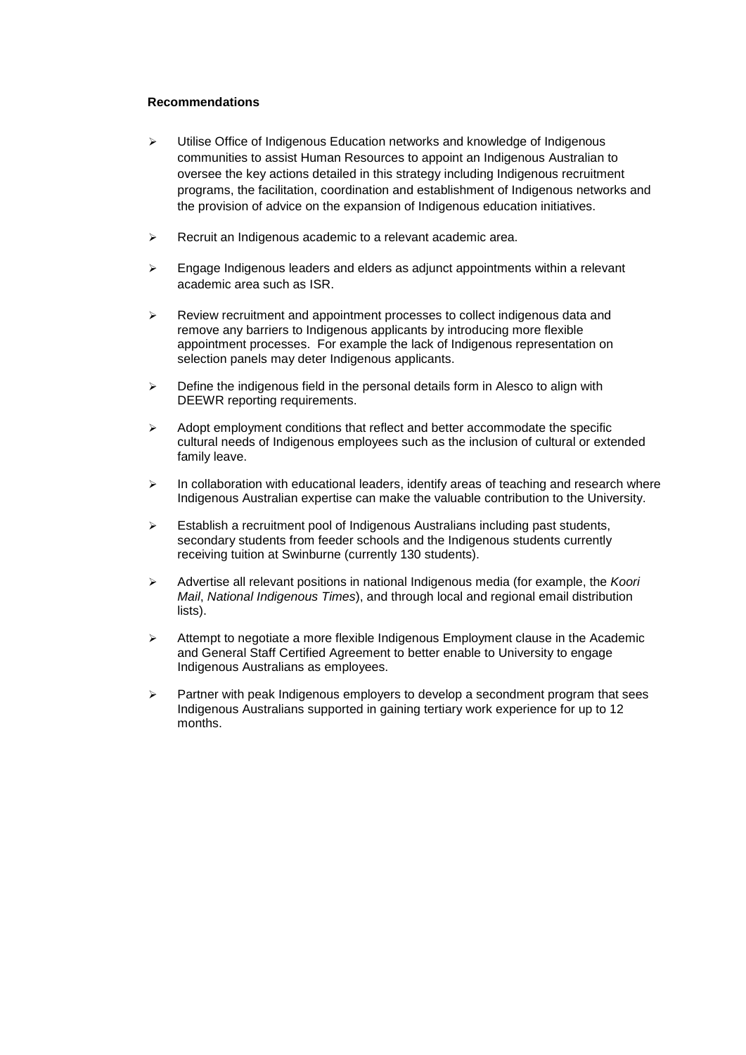## **Recommendations**

- $\triangleright$  Utilise Office of Indigenous Education networks and knowledge of Indigenous communities to assist Human Resources to appoint an Indigenous Australian to oversee the key actions detailed in this strategy including Indigenous recruitment programs, the facilitation, coordination and establishment of Indigenous networks and the provision of advice on the expansion of Indigenous education initiatives.
- $\triangleright$  Recruit an Indigenous academic to a relevant academic area.
- $\geq$  Engage Indigenous leaders and elders as adjunct appointments within a relevant academic area such as ISR.
- $\triangleright$  Review recruitment and appointment processes to collect indigenous data and remove any barriers to Indigenous applicants by introducing more flexible appointment processes. For example the lack of Indigenous representation on selection panels may deter Indigenous applicants.
- $\triangleright$  Define the indigenous field in the personal details form in Alesco to align with DEEWR reporting requirements.
- $\triangleright$  Adopt employment conditions that reflect and better accommodate the specific cultural needs of Indigenous employees such as the inclusion of cultural or extended family leave.
- $\triangleright$  In collaboration with educational leaders, identify areas of teaching and research where Indigenous Australian expertise can make the valuable contribution to the University.
- $\triangleright$  Establish a recruitment pool of Indigenous Australians including past students, secondary students from feeder schools and the Indigenous students currently receiving tuition at Swinburne (currently 130 students).
- Advertise all relevant positions in national Indigenous media (for example, the *Koori Mail*, *National Indigenous Times*), and through local and regional email distribution lists).
- $\triangleright$  Attempt to negotiate a more flexible Indigenous Employment clause in the Academic and General Staff Certified Agreement to better enable to University to engage Indigenous Australians as employees.
- $\triangleright$  Partner with peak Indigenous employers to develop a secondment program that sees Indigenous Australians supported in gaining tertiary work experience for up to 12 months.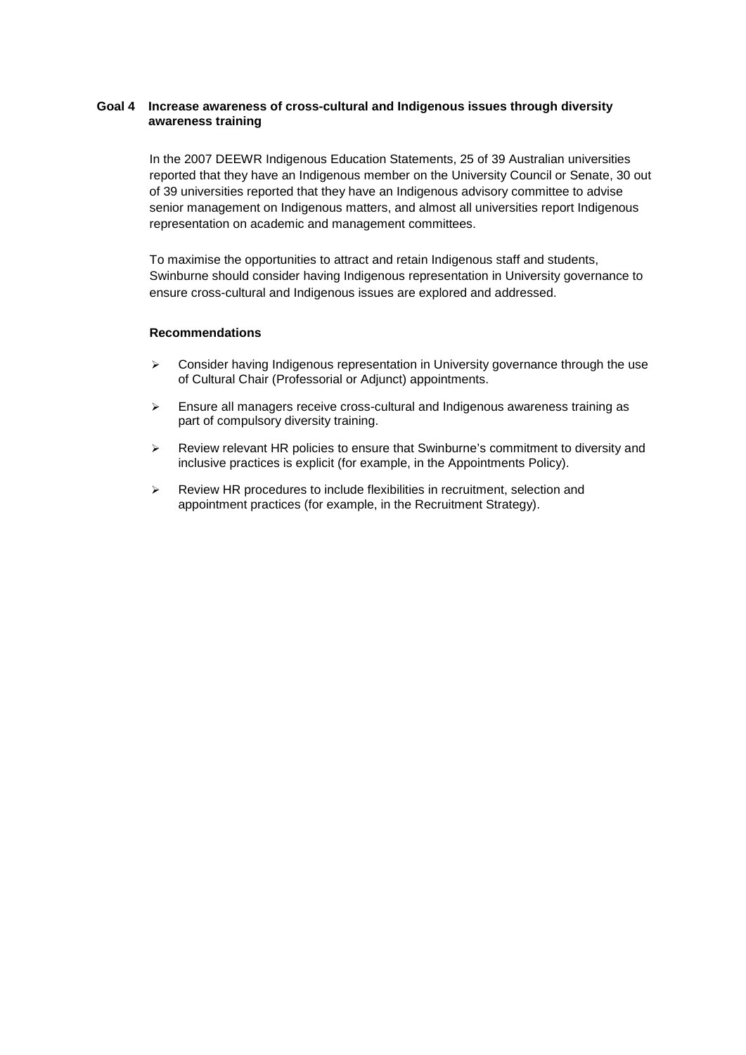# **Goal 4 Increase awareness of cross-cultural and Indigenous issues through diversity awareness training**

In the 2007 DEEWR Indigenous Education Statements, 25 of 39 Australian universities reported that they have an Indigenous member on the University Council or Senate, 30 out of 39 universities reported that they have an Indigenous advisory committee to advise senior management on Indigenous matters, and almost all universities report Indigenous representation on academic and management committees.

To maximise the opportunities to attract and retain Indigenous staff and students, Swinburne should consider having Indigenous representation in University governance to ensure cross-cultural and Indigenous issues are explored and addressed.

#### **Recommendations**

- $\triangleright$  Consider having Indigenous representation in University governance through the use of Cultural Chair (Professorial or Adjunct) appointments.
- $\triangleright$  Ensure all managers receive cross-cultural and Indigenous awareness training as part of compulsory diversity training.
- $\triangleright$  Review relevant HR policies to ensure that Swinburne's commitment to diversity and inclusive practices is explicit (for example, in the Appointments Policy).
- $\triangleright$  Review HR procedures to include flexibilities in recruitment, selection and appointment practices (for example, in the Recruitment Strategy).